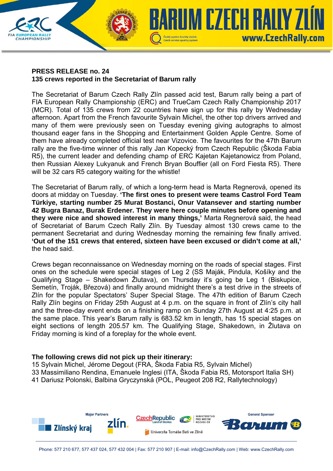

**CHAMPIONSHIP** 

The Secretariat of Barum Czech Rally Zlín passed acid test, Barum rally being a part of FIA European Rally Championship (ERC) and TrueCam Czech Rally Championship 2017 (MCR). Total of 135 crews from 22 countries have sign up for this rally by Wednesday afternoon. Apart from the French favourite Sylvain Michel, the other top drivers arrived and many of them were previously seen on Tuesday evening giving autographs to almost thousand eager fans in the Shopping and Entertainment Golden Apple Centre. Some of them have already completed official test near Vizovice. The favourites for the 47th Barum rally are the five-time winner of this rally Jan Kopecký from Czech Republic (Škoda Fabia R5), the current leader and defending champ of ERC Kajetan Kajetanowicz from Poland, then Russian Alexey Lukyanuk and French Bryan Bouffier (all on Ford Fiesta R5). There will be 32 cars R5 category waiting for the whistle!

Czech service quality system

UM CZECH RAILY Z

www.CzechRally.com

The Secretariat of Barum rally, of which a long-term head is Marta Regnerová, opened its doors at midday on Tuesday. **'The first ones to present were teams Castrol Ford Team Türkiye, starting number 25 Murat Bostanci, Onur Vatansever and starting number 42 Bugra Banaz, Burak Erdener. They were here couple minutes before opening and they were nice and showed interest in many things,'** Marta Regnerová said, the head of Secretariat of Barum Czech Rally Zlín. By Tuesday almost 130 crews came to the permanent Secretariat and during Wednesday morning the remaining few finally arrived. **'Out of the 151 crews that entered, sixteen have been excused or didn't come at all,'**  the head said.

Crews began reconnaissance on Wednesday morning on the roads of special stages. First ones on the schedule were special stages of Leg 2 (SS Maják, Pindula, Košíky and the Qualifying Stage – Shakedown Žlutava), on Thursday it's going be Leg 1 (Biskupice, Semetín, Troják, Březová) and finally around midnight there's a test drive in the streets of Zlín for the popular Spectators' Super Special Stage. The 47th edition of Barum Czech Rally Zlín begins on Friday 25th August at 4 p.m. on the square in front of Zlín's city hall and the three-day event ends on a finishing ramp on Sunday 27th August at 4:25 p.m. at the same place. This year's Barum rally is 683.52 km in length, has 15 special stages on eight sections of length 205.57 km. The Qualifying Stage, Shakedown, in Žlutava on Friday morning is kind of a foreplay for the whole event.

## **The following crews did not pick up their itinerary:**

15 Sylvain Michel, Jérome Degout (FRA, Škoda Fabia R5, Sylvain Michel) 33 Massimiliano Rendina, Emanuele Inglesi (ITA, Škoda Fabia R5, Motorsport Italia SH) 41 Dariusz Polonski, Balbina Gryczynská (POL, Peugeot 208 R2, Rallytechnology)